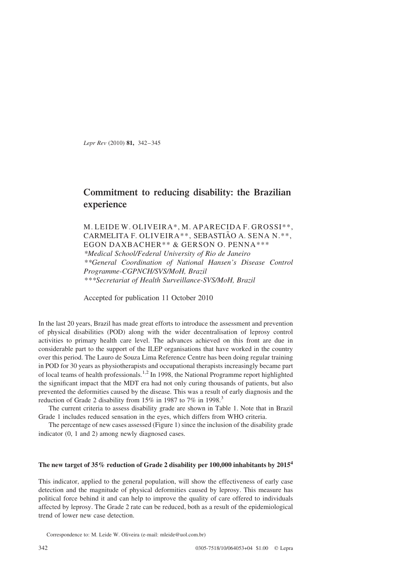Lepr Rev (2010) 81, 342–345

# Commitment to reducing disability: the Brazilian experience

M. LEIDE W. OLIVEIRA\*, M. APARECIDA F. GROSSI\*\*, CARMELITA F. OLIVEIRA\*\*, SEBASTIÃO A. SENA N.\*\*, EGON DAXBACHER\*\* & GERSON O. PENNA\*\*\* \*Medical School/Federal University of Rio de Janeiro \*\*General Coordination of National Hansen's Disease Control Programme-CGPNCH/SVS/MoH, Brazil \*\*\*Secretariat of Health Surveillance-SVS/MoH, Brazil

Accepted for publication 11 October 2010

In the last 20 years, Brazil has made great efforts to introduce the assessment and prevention of physical disabilities (POD) along with the wider decentralisation of leprosy control activities to primary health care level. The advances achieved on this front are due in considerable part to the support of the ILEP organisations that have worked in the country over this period. The Lauro de Souza Lima Reference Centre has been doing regular training in POD for 30 years as physiotherapists and occupational therapists increasingly became part of local teams of health professionals.[1,2](#page-3-0) In 1998, the National Programme report highlighted the significant impact that the MDT era had not only curing thousands of patients, but also prevented the deformities caused by the disease. This was a result of early diagnosis and the reduction of Grade 2 disability from 15% in 1987 to 7% in 1998.<sup>[3](#page-3-0)</sup>

The current criteria to assess disability grade are shown in [Table 1](#page-1-0). Note that in Brazil Grade 1 includes reduced sensation in the eyes, which differs from WHO criteria.

The percentage of new cases assessed ([Figure 1\)](#page-1-0) since the inclusion of the disability grade indicator (0, 1 and 2) among newly diagnosed cases.

# The new target of 35% reduction of Grade 2 disability per 100,000 inhabitants by  $2015<sup>4</sup>$  $2015<sup>4</sup>$  $2015<sup>4</sup>$

This indicator, applied to the general population, will show the effectiveness of early case detection and the magnitude of physical deformities caused by leprosy. This measure has political force behind it and can help to improve the quality of care offered to individuals affected by leprosy. The Grade 2 rate can be reduced, both as a result of the epidemiological trend of lower new case detection.

Correspondence to: M. Leide W. Oliveira (e-mail: mleide@uol.com.br)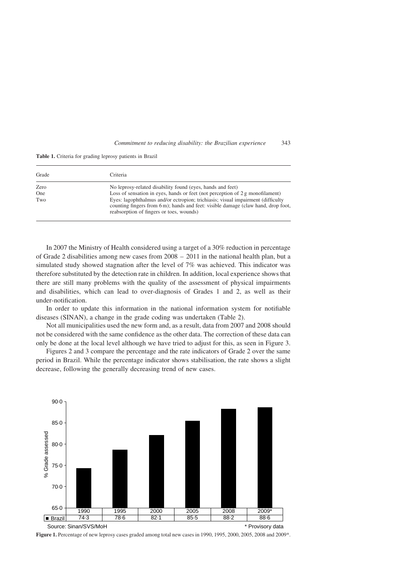Commitment to reducing disability: the Brazilian experience 343

<span id="page-1-0"></span>Table 1. Criteria for grading leprosy patients in Brazil

| Grade      | Criteria                                                                                                                                                                                                          |
|------------|-------------------------------------------------------------------------------------------------------------------------------------------------------------------------------------------------------------------|
| Zero       | No leprosy-related disability found (eyes, hands and feet)                                                                                                                                                        |
| <b>One</b> | Loss of sensation in eyes, hands or feet (not perception of $2g$ monofilament)                                                                                                                                    |
| Two        | Eyes: lagophthalmus and/or ectropion; trichiasis; visual impairment (difficulty)<br>counting fingers from 6 m); hands and feet: visible damage (claw hand, drop foot,<br>reabsorption of fingers or toes, wounds) |

In 2007 the Ministry of Health considered using a target of a 30% reduction in percentage of Grade 2 disabilities among new cases from 2008 – 2011 in the national health plan, but a simulated study showed stagnation after the level of 7% was achieved. This indicator was therefore substituted by the detection rate in children. In addition, local experience shows that there are still many problems with the quality of the assessment of physical impairments and disabilities, which can lead to over-diagnosis of Grades 1 and 2, as well as their under-notification.

In order to update this information in the national information system for notifiable diseases (SINAN), a change in the grade coding was undertaken [\(Table 2](#page-2-0)).

Not all municipalities used the new form and, as a result, data from 2007 and 2008 should not be considered with the same confidence as the other data. The correction of these data can only be done at the local level although we have tried to adjust for this, as seen in [Figure 3.](#page-2-0)

[Figures 2 and 3](#page-2-0) compare the percentage and the rate indicators of Grade 2 over the same period in Brazil. While the percentage indicator shows stabilisation, the rate shows a slight decrease, following the generally decreasing trend of new cases.



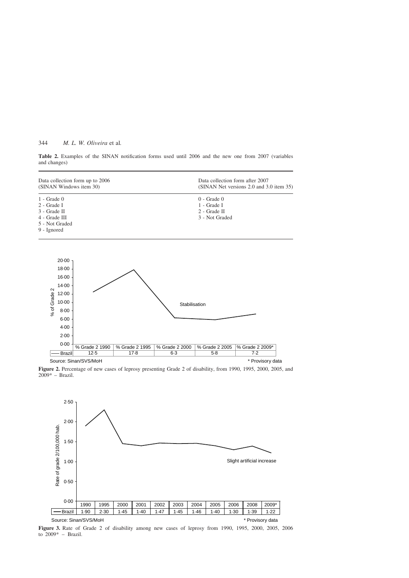#### <span id="page-2-0"></span>344 M. L. W. Oliveira et al.

Table 2. Examples of the SINAN notification forms used until 2006 and the new one from 2007 (variables and changes)



Figure 2. Percentage of new cases of leprosy presenting Grade 2 of disability, from 1990, 1995, 2000, 2005, and 2009\* – Brazil.



Figure 3. Rate of Grade 2 of disability among new cases of leprosy from 1990, 1995, 2000, 2005, 2006 to  $2009*$  – Brazil.